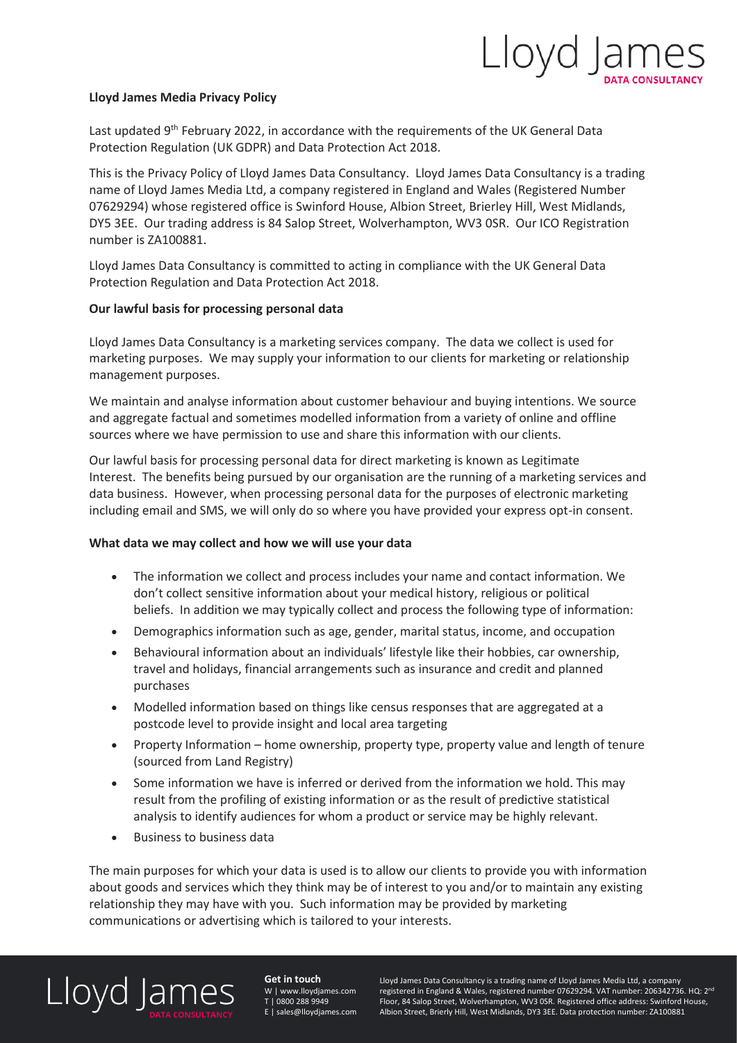

#### **Lloyd James Media Privacy Policy**

Last updated 9<sup>th</sup> February 2022, in accordance with the requirements of the UK General Data Protection Regulation (UK GDPR) and Data Protection Act 2018.

This is the Privacy Policy of Lloyd James Data Consultancy. Lloyd James Data Consultancy is a trading name of Lloyd James Media Ltd, a company registered in England and Wales (Registered Number 07629294) whose registered office is Swinford House, Albion Street, Brierley Hill, West Midlands, DY5 3EE. Our trading address is 84 Salop Street, Wolverhampton, WV3 0SR. Our ICO Registration number is ZA100881.

Lloyd James Data Consultancy is committed to acting in compliance with the UK General Data Protection Regulation and Data Protection Act 2018.

#### **Our lawful basis for processing personal data**

Lloyd James Data Consultancy is a marketing services company. The data we collect is used for marketing purposes. We may supply your information to our clients for marketing or relationship management purposes.

We maintain and analyse information about customer behaviour and buying intentions. We source and aggregate factual and sometimes modelled information from a variety of online and offline sources where we have permission to use and share this information with our clients.

Our lawful basis for processing personal data for direct marketing is known as Legitimate Interest. The benefits being pursued by our organisation are the running of a marketing services and data business. However, when processing personal data for the purposes of electronic marketing including email and SMS, we will only do so where you have provided your express opt-in consent.

#### **What data we may collect and how we will use your data**

- The information we collect and process includes your name and contact information. We don't collect sensitive information about your medical history, religious or political beliefs. In addition we may typically collect and process the following type of information:
- Demographics information such as age, gender, marital status, income, and occupation
- Behavioural information about an individuals' lifestyle like their hobbies, car ownership, travel and holidays, financial arrangements such as insurance and credit and planned purchases
- Modelled information based on things like census responses that are aggregated at a postcode level to provide insight and local area targeting
- Property Information home ownership, property type, property value and length of tenure (sourced from Land Registry)
- Some information we have is inferred or derived from the information we hold. This may result from the profiling of existing information or as the result of predictive statistical analysis to identify audiences for whom a product or service may be highly relevant.
- Business to business data

The main purposes for which your data is used is to allow our clients to provide you with information about goods and services which they think may be of interest to you and/or to maintain any existing relationship they may have with you. Such information may be provided by marketing communications or advertising which is tailored to your interests.

## Lloyd James

**Get in touch** W | www.lloydjames.com T | 0800 288 9949 E | sales@lloydjames.com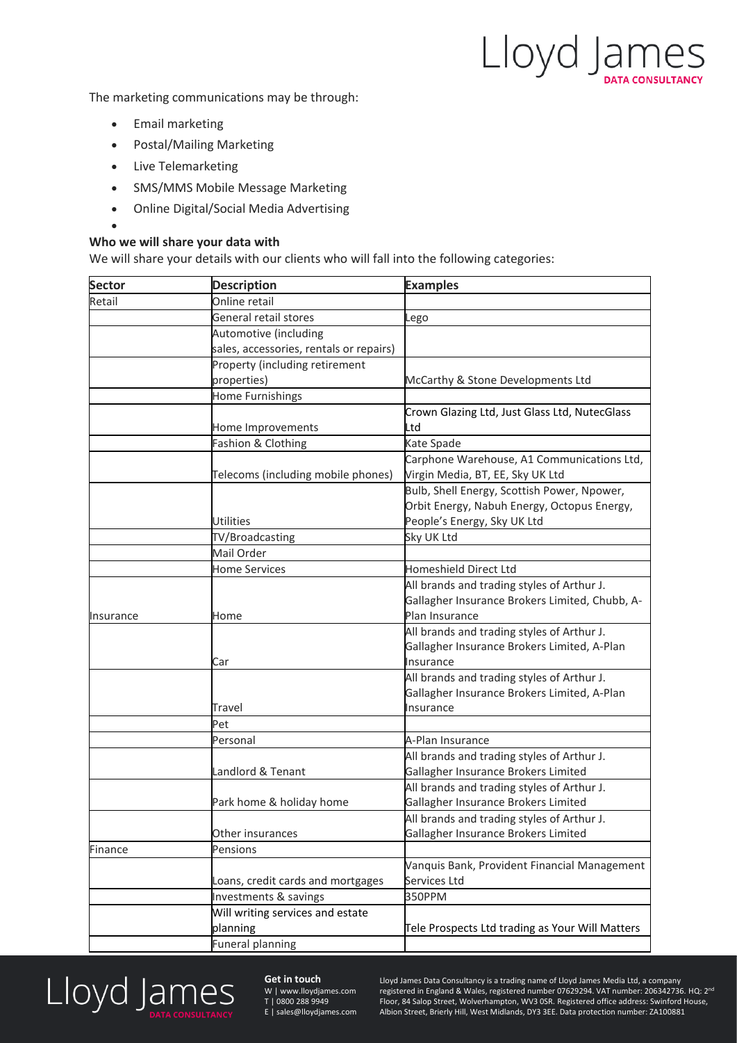Lloyd James

The marketing communications may be through:

- Email marketing
- Postal/Mailing Marketing
- Live Telemarketing

•

- SMS/MMS Mobile Message Marketing
- Online Digital/Social Media Advertising

#### **Who we will share your data with**

We will share your details with our clients who will fall into the following categories:

| <b>Sector</b> | <b>Description</b>                      | <b>Examples</b>                                 |
|---------------|-----------------------------------------|-------------------------------------------------|
| Retail        | Online retail                           |                                                 |
|               | General retail stores                   | Lego                                            |
|               | Automotive (including                   |                                                 |
|               | sales, accessories, rentals or repairs) |                                                 |
|               | Property (including retirement          |                                                 |
|               | properties)                             | McCarthy & Stone Developments Ltd               |
|               | Home Furnishings                        |                                                 |
|               |                                         | Crown Glazing Ltd, Just Glass Ltd, NutecGlass   |
|               | Home Improvements                       | Ltd                                             |
|               | Fashion & Clothing                      | Kate Spade                                      |
|               |                                         | Carphone Warehouse, A1 Communications Ltd,      |
|               | Telecoms (including mobile phones)      | Virgin Media, BT, EE, Sky UK Ltd                |
|               |                                         | Bulb, Shell Energy, Scottish Power, Npower,     |
|               |                                         | Orbit Energy, Nabuh Energy, Octopus Energy,     |
|               | <b>Utilities</b>                        | People's Energy, Sky UK Ltd                     |
|               | TV/Broadcasting                         | Sky UK Ltd                                      |
|               | Mail Order                              |                                                 |
|               | <b>Home Services</b>                    | <b>Homeshield Direct Ltd</b>                    |
|               |                                         | All brands and trading styles of Arthur J.      |
|               |                                         | Gallagher Insurance Brokers Limited, Chubb, A-  |
| Insurance     | Home                                    | Plan Insurance                                  |
|               |                                         | All brands and trading styles of Arthur J.      |
|               |                                         | Gallagher Insurance Brokers Limited, A-Plan     |
|               | Car                                     | Insurance                                       |
|               |                                         | All brands and trading styles of Arthur J.      |
|               |                                         | Gallagher Insurance Brokers Limited, A-Plan     |
|               | Travel                                  | Insurance                                       |
|               | Pet                                     |                                                 |
|               | Personal                                | A-Plan Insurance                                |
|               |                                         | All brands and trading styles of Arthur J.      |
|               | Landlord & Tenant                       | Gallagher Insurance Brokers Limited             |
|               |                                         | All brands and trading styles of Arthur J.      |
|               | Park home & holiday home                | Gallagher Insurance Brokers Limited             |
|               |                                         | All brands and trading styles of Arthur J.      |
|               | Other insurances                        | Gallagher Insurance Brokers Limited             |
| Finance       | Pensions                                |                                                 |
|               |                                         | Vanquis Bank, Provident Financial Management    |
|               | Loans, credit cards and mortgages       | Services Ltd                                    |
|               | Investments & savings                   | 350PPM                                          |
|               | Will writing services and estate        |                                                 |
|               | planning                                | Tele Prospects Ltd trading as Your Will Matters |
|               | <b>Funeral planning</b>                 |                                                 |



#### **Get in touch**

W | www.lloydjames.com T | 0800 288 9949 E | sales@lloydjames.com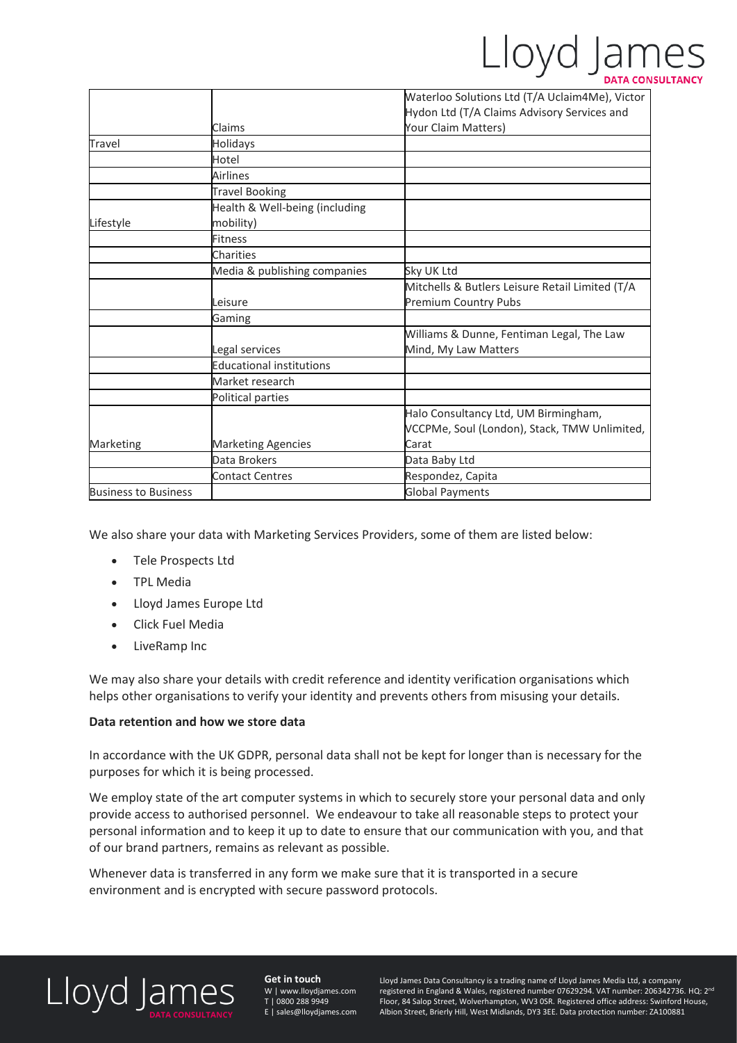# Lloyd James

|                             |                                             | Waterloo Solutions Ltd (T/A Uclaim4Me), Victor  |
|-----------------------------|---------------------------------------------|-------------------------------------------------|
|                             |                                             | Hydon Ltd (T/A Claims Advisory Services and     |
|                             | Claims                                      | Your Claim Matters)                             |
| Travel                      | Holidays                                    |                                                 |
|                             | Hotel                                       |                                                 |
|                             | <b>Airlines</b>                             |                                                 |
|                             | <b>Travel Booking</b>                       |                                                 |
| Lifestyle                   | Health & Well-being (including<br>mobility) |                                                 |
|                             | <b>Fitness</b>                              |                                                 |
|                             |                                             |                                                 |
|                             | Charities                                   |                                                 |
|                             | Media & publishing companies                | Sky UK Ltd                                      |
|                             |                                             | Mitchells & Butlers Leisure Retail Limited (T/A |
|                             | Leisure                                     | <b>Premium Country Pubs</b>                     |
|                             | Gaming                                      |                                                 |
|                             |                                             | Williams & Dunne, Fentiman Legal, The Law       |
|                             | Legal services                              | Mind, My Law Matters                            |
|                             | <b>Educational institutions</b>             |                                                 |
|                             | Market research                             |                                                 |
|                             | Political parties                           |                                                 |
|                             |                                             | Halo Consultancy Ltd, UM Birmingham,            |
|                             |                                             | VCCPMe, Soul (London), Stack, TMW Unlimited,    |
| Marketing                   | <b>Marketing Agencies</b>                   | Carat                                           |
|                             | Data Brokers                                | Data Baby Ltd                                   |
|                             | <b>Contact Centres</b>                      | Respondez, Capita                               |
| <b>Business to Business</b> |                                             | <b>Global Payments</b>                          |

We also share your data with Marketing Services Providers, some of them are listed below:

- Tele Prospects Ltd
- TPL Media
- Lloyd James Europe Ltd
- Click Fuel Media
- LiveRamp Inc

We may also share your details with credit reference and identity verification organisations which helps other organisations to verify your identity and prevents others from misusing your details.

#### **Data retention and how we store data**

In accordance with the UK GDPR, personal data shall not be kept for longer than is necessary for the purposes for which it is being processed.

We employ state of the art computer systems in which to securely store your personal data and only provide access to authorised personnel. We endeavour to take all reasonable steps to protect your personal information and to keep it up to date to ensure that our communication with you, and that of our brand partners, remains as relevant as possible.

Whenever data is transferred in any form we make sure that it is transported in a secure environment and is encrypted with secure password protocols.



**Get in touch** W | www.lloydjames.com T | 0800 288 9949 E | sales@lloydjames.com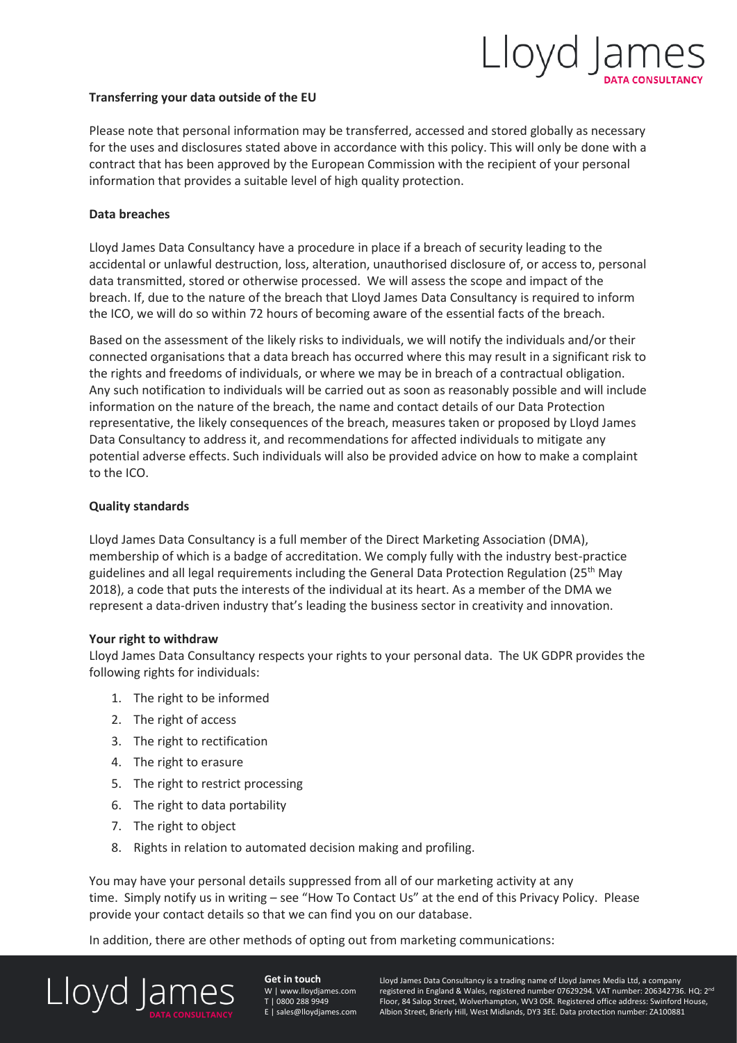## Lloyd Jar

#### **Transferring your data outside of the EU**

Please note that personal information may be transferred, accessed and stored globally as necessary for the uses and disclosures stated above in accordance with this policy. This will only be done with a contract that has been approved by the European Commission with the recipient of your personal information that provides a suitable level of high quality protection.

#### **Data breaches**

Lloyd James Data Consultancy have a procedure in place if a breach of security leading to the accidental or unlawful destruction, loss, alteration, unauthorised disclosure of, or access to, personal data transmitted, stored or otherwise processed. We will assess the scope and impact of the breach. If, due to the nature of the breach that Lloyd James Data Consultancy is required to inform the ICO, we will do so within 72 hours of becoming aware of the essential facts of the breach.

Based on the assessment of the likely risks to individuals, we will notify the individuals and/or their connected organisations that a data breach has occurred where this may result in a significant risk to the rights and freedoms of individuals, or where we may be in breach of a contractual obligation. Any such notification to individuals will be carried out as soon as reasonably possible and will include information on the nature of the breach, the name and contact details of our Data Protection representative, the likely consequences of the breach, measures taken or proposed by Lloyd James Data Consultancy to address it, and recommendations for affected individuals to mitigate any potential adverse effects. Such individuals will also be provided advice on how to make a complaint to the ICO.

#### **Quality standards**

Lloyd James Data Consultancy is a full member of the Direct Marketing Association (DMA), membership of which is a badge of accreditation. We comply fully with the industry best-practice guidelines and all legal requirements including the General Data Protection Regulation ( $25<sup>th</sup>$  May 2018), a code that puts the interests of the individual at its heart. As a member of the DMA we represent a data-driven industry that's leading the business sector in creativity and innovation.

#### **Your right to withdraw**

Lloyd James Data Consultancy respects your rights to your personal data. The UK GDPR provides the following rights for individuals:

- 1. The right to be informed
- 2. The right of access
- 3. The right to rectification
- 4. The right to erasure
- 5. The right to restrict processing
- 6. The right to data portability
- 7. The right to object
- 8. Rights in relation to automated decision making and profiling.

You may have your personal details suppressed from all of our marketing activity at any time. Simply notify us in writing – see "How To Contact Us" at the end of this Privacy Policy. Please provide your contact details so that we can find you on our database.

In addition, there are other methods of opting out from marketing communications:



**Get in touch** W | www.lloydjames.com T | 0800 288 9949 sales@lloydiames.com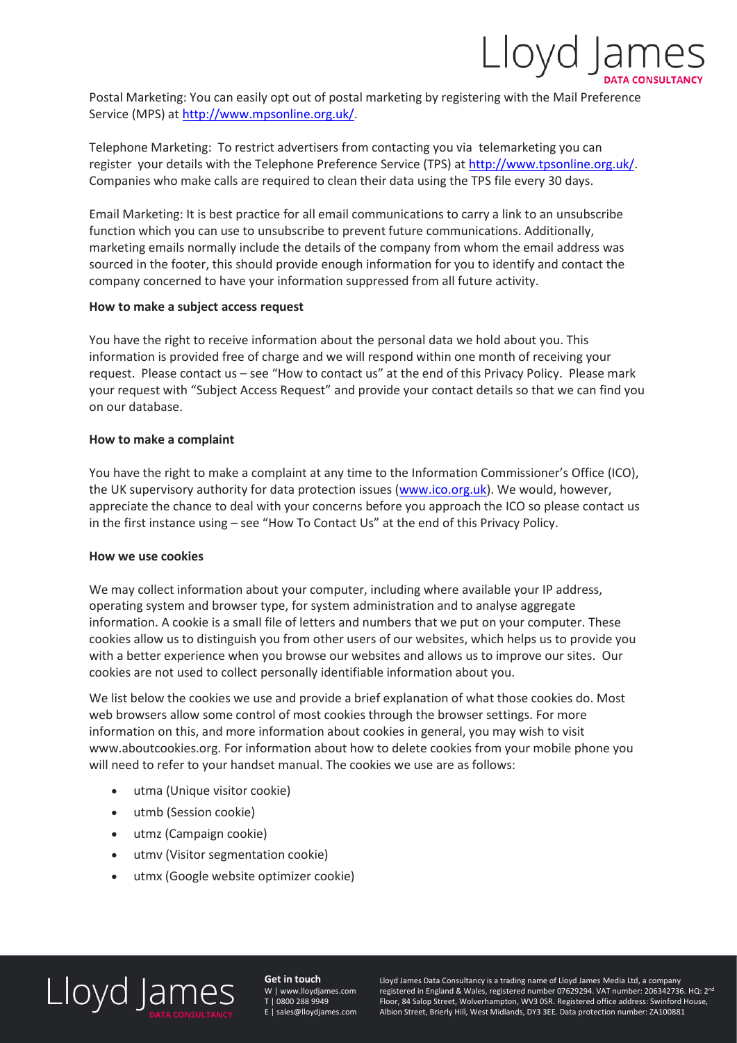

Postal Marketing: You can easily opt out of postal marketing by registering with the Mail Preference Service (MPS) at [http://www.mpsonline.org.uk/.](http://www.mpsonline.org.uk/)

Telephone Marketing: To restrict advertisers from contacting you via telemarketing you can register your details with the Telephone Preference Service (TPS) at [http://www.tpsonline.org.uk/.](http://www.tpsonline.org.uk/) Companies who make calls are required to clean their data using the TPS file every 30 days.

Email Marketing: It is best practice for all email communications to carry a link to an unsubscribe function which you can use to unsubscribe to prevent future communications. Additionally, marketing emails normally include the details of the company from whom the email address was sourced in the footer, this should provide enough information for you to identify and contact the company concerned to have your information suppressed from all future activity.

#### **How to make a subject access request**

You have the right to receive information about the personal data we hold about you. This information is provided free of charge and we will respond within one month of receiving your request. Please contact us – see "How to contact us" at the end of this Privacy Policy. Please mark your request with "Subject Access Request" and provide your contact details so that we can find you on our database.

#### **How to make a complaint**

You have the right to make a complaint at any time to the Information Commissioner's Office (ICO), the UK supervisory authority for data protection issues [\(www.ico.org.uk\)](http://www.ico.org.uk/). We would, however, appreciate the chance to deal with your concerns before you approach the ICO so please contact us in the first instance using – see "How To Contact Us" at the end of this Privacy Policy.

#### **How we use cookies**

We may collect information about your computer, including where available your IP address, operating system and browser type, for system administration and to analyse aggregate information. A cookie is a small file of letters and numbers that we put on your computer. These cookies allow us to distinguish you from other users of our websites, which helps us to provide you with a better experience when you browse our websites and allows us to improve our sites. Our cookies are not used to collect personally identifiable information about you.

We list below the cookies we use and provide a brief explanation of what those cookies do. Most web browsers allow some control of most cookies through the browser settings. For more information on this, and more information about cookies in general, you may wish to visit www.aboutcookies.org. For information about how to delete cookies from your mobile phone you will need to refer to your handset manual. The cookies we use are as follows:

- utma (Unique visitor cookie)
- utmb (Session cookie)
- utmz (Campaign cookie)
- utmv (Visitor segmentation cookie)
- utmx (Google website optimizer cookie)

### Lloyd James

**Get in touch** W | www.lloydjames.com T | 0800 288 9949 E | sales@lloydjames.com